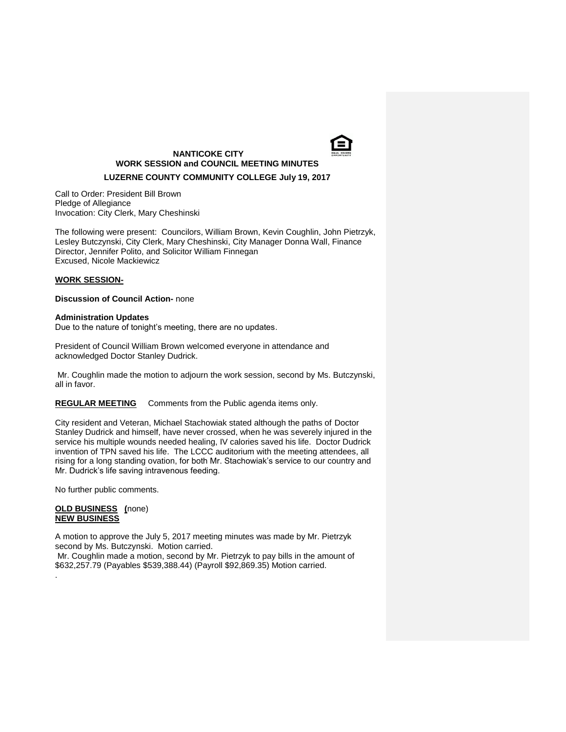

# **NANTICOKE CITY WORK SESSION and COUNCIL MEETING MINUTES**

## **LUZERNE COUNTY COMMUNITY COLLEGE July 19, 2017**

Call to Order: President Bill Brown Pledge of Allegiance Invocation: City Clerk, Mary Cheshinski

The following were present: Councilors, William Brown, Kevin Coughlin, John Pietrzyk, Lesley Butczynski, City Clerk, Mary Cheshinski, City Manager Donna Wall, Finance Director, Jennifer Polito, and Solicitor William Finnegan Excused, Nicole Mackiewicz

#### **WORK SESSION-**

### **Discussion of Council Action-** none

#### **Administration Updates**

Due to the nature of tonight's meeting, there are no updates.

President of Council William Brown welcomed everyone in attendance and acknowledged Doctor Stanley Dudrick.

Mr. Coughlin made the motion to adjourn the work session, second by Ms. Butczynski, all in favor.

**REGULAR MEETING** Comments from the Public agenda items only.

City resident and Veteran, Michael Stachowiak stated although the paths of Doctor Stanley Dudrick and himself, have never crossed, when he was severely injured in the service his multiple wounds needed healing, IV calories saved his life. Doctor Dudrick invention of TPN saved his life. The LCCC auditorium with the meeting attendees, all rising for a long standing ovation, for both Mr. Stachowiak's service to our country and Mr. Dudrick's life saving intravenous feeding.

No further public comments.

#### **OLD BUSINESS (**none) **NEW BUSINESS**

.

A motion to approve the July 5, 2017 meeting minutes was made by Mr. Pietrzyk second by Ms. Butczynski. Motion carried.

Mr. Coughlin made a motion, second by Mr. Pietrzyk to pay bills in the amount of \$632,257.79 (Payables \$539,388.44) (Payroll \$92,869.35) Motion carried.